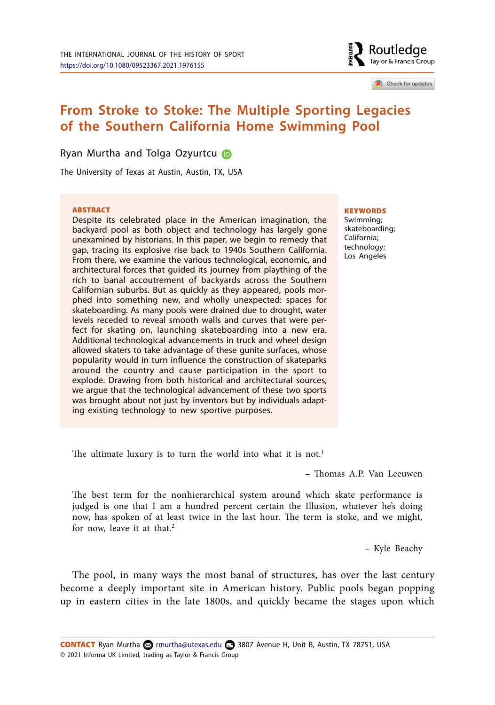

Check for updates

# **From Stroke to Stoke: The Multiple Sporting Legacies of the Southern California Home Swimming Pool**

Ryan Murtha and Tolga Ozyurtcu

The University of Texas at Austin, Austin, TX, USA

#### **ARSTRACT**

Despite its celebrated place in the American imagination, the backyard pool as both object and technology has largely gone unexamined by historians. In this paper, we begin to remedy that gap, tracing its explosive rise back to 1940s Southern California. From there, we examine the various technological, economic, and architectural forces that guided its journey from plaything of the rich to banal accoutrement of backyards across the Southern Californian suburbs. But as quickly as they appeared, pools morphed into something new, and wholly unexpected: spaces for skateboarding. As many pools were drained due to drought, water levels receded to reveal smooth walls and curves that were perfect for skating on, launching skateboarding into a new era. Additional technological advancements in truck and wheel design allowed skaters to take advantage of these gunite surfaces, whose popularity would in turn influence the construction of skateparks around the country and cause participation in the sport to explode. Drawing from both historical and architectural sources, we argue that the technological advancement of these two sports was brought about not just by inventors but by individuals adapting existing technology to new sportive purposes.

#### **KEYWORDS**

Swimming; skateboarding; California; technology; Los Angeles

The ultimate luxury is to turn the world into what it is not.<sup>1</sup>

– Thomas A.P. Van Leeuwen

The best term for the nonhierarchical system around which skate performance is judged is one that I am a hundred percent certain the Illusion, whatever he's doing now, has spoken of at least twice in the last hour. The term is stoke, and we might, for now, leave it at that.<sup>2</sup>

– Kyle Beachy

The pool, in many ways the most banal of structures, has over the last century become a deeply important site in American history. Public pools began popping up in eastern cities in the late 1800s, and quickly became the stages upon which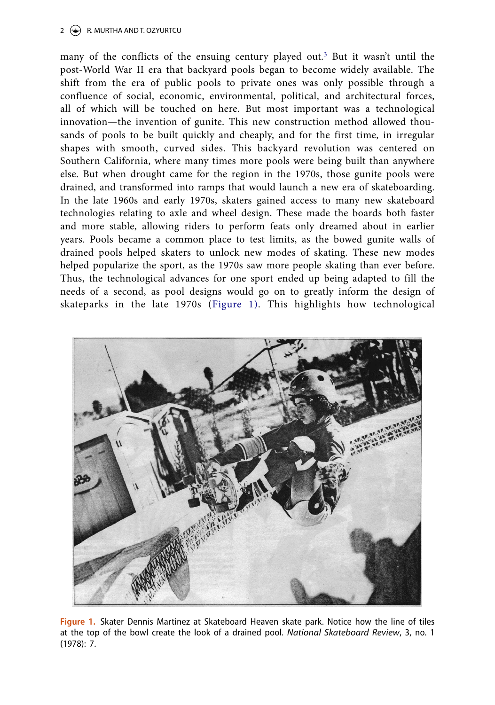#### 2  $\left(\frac{1}{2}\right)$  R. MURTHA AND T. OZYURTCU

many of the conflicts of the ensuing century played out.<sup>3</sup> But it wasn't until the post-World War II era that backyard pools began to become widely available. The shift from the era of public pools to private ones was only possible through a confluence of social, economic, environmental, political, and architectural forces, all of which will be touched on here. But most important was a technological innovation—the invention of gunite. This new construction method allowed thousands of pools to be built quickly and cheaply, and for the first time, in irregular shapes with smooth, curved sides. This backyard revolution was centered on Southern California, where many times more pools were being built than anywhere else. But when drought came for the region in the 1970s, those gunite pools were drained, and transformed into ramps that would launch a new era of skateboarding. In the late 1960s and early 1970s, skaters gained access to many new skateboard technologies relating to axle and wheel design. These made the boards both faster and more stable, allowing riders to perform feats only dreamed about in earlier years. Pools became a common place to test limits, as the bowed gunite walls of drained pools helped skaters to unlock new modes of skating. These new modes helped popularize the sport, as the 1970s saw more people skating than ever before. Thus, the technological advances for one sport ended up being adapted to fill the needs of a second, as pool designs would go on to greatly inform the design of skateparks in the late 1970s (Figure 1). This highlights how technological



**Figure 1.** Skater Dennis Martinez at Skateboard Heaven skate park. Notice how the line of tiles at the top of the bowl create the look of a drained pool. National Skateboard Review, 3, no. 1 (1978): 7.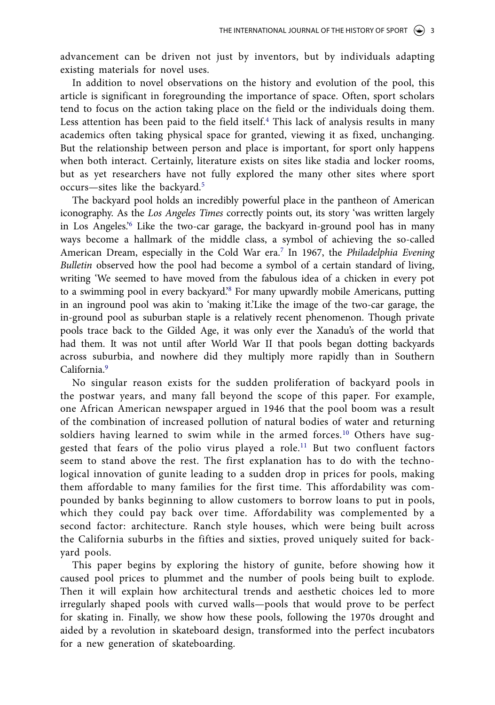advancement can be driven not just by inventors, but by individuals adapting existing materials for novel uses.

In addition to novel observations on the history and evolution of the pool, this article is significant in foregrounding the importance of space. Often, sport scholars tend to focus on the action taking place on the field or the individuals doing them. Less attention has been paid to the field itself.<sup>4</sup> This lack of analysis results in many academics often taking physical space for granted, viewing it as fixed, unchanging. But the relationship between person and place is important, for sport only happens when both interact. Certainly, literature exists on sites like stadia and locker rooms, but as yet researchers have not fully explored the many other sites where sport occurs—sites like the backyard.<sup>5</sup>

The backyard pool holds an incredibly powerful place in the pantheon of American iconography. As the Los Angeles Times correctly points out, its story 'was written largely in Los Angeles.'<sup>6</sup> Like the two-car garage, the backyard in-ground pool has in many ways become a hallmark of the middle class, a symbol of achieving the so-called American Dream, especially in the Cold War era.<sup>7</sup> In 1967, the Philadelphia Evening Bulletin observed how the pool had become a symbol of a certain standard of living, writing 'We seemed to have moved from the fabulous idea of a chicken in every pot to a swimming pool in every backyard.<sup>38</sup> For many upwardly mobile Americans, putting in an inground pool was akin to 'making it.'Like the image of the two-car garage, the in-ground pool as suburban staple is a relatively recent phenomenon. Though private pools trace back to the Gilded Age, it was only ever the Xanadu's of the world that had them. It was not until after World War II that pools began dotting backyards across suburbia, and nowhere did they multiply more rapidly than in Southern California.<sup>9</sup>

No singular reason exists for the sudden proliferation of backyard pools in the postwar years, and many fall beyond the scope of this paper. For example, one African American newspaper argued in 1946 that the pool boom was a result of the combination of increased pollution of natural bodies of water and returning soldiers having learned to swim while in the armed forces.<sup>10</sup> Others have suggested that fears of the polio virus played a role.<sup>11</sup> But two confluent factors seem to stand above the rest. The first explanation has to do with the technological innovation of gunite leading to a sudden drop in prices for pools, making them affordable to many families for the first time. This affordability was compounded by banks beginning to allow customers to borrow loans to put in pools, which they could pay back over time. Affordability was complemented by a second factor: architecture. Ranch style houses, which were being built across the California suburbs in the fifties and sixties, proved uniquely suited for backyard pools.

This paper begins by exploring the history of gunite, before showing how it caused pool prices to plummet and the number of pools being built to explode. Then it will explain how architectural trends and aesthetic choices led to more irregularly shaped pools with curved walls—pools that would prove to be perfect for skating in. Finally, we show how these pools, following the 1970s drought and aided by a revolution in skateboard design, transformed into the perfect incubators for a new generation of skateboarding.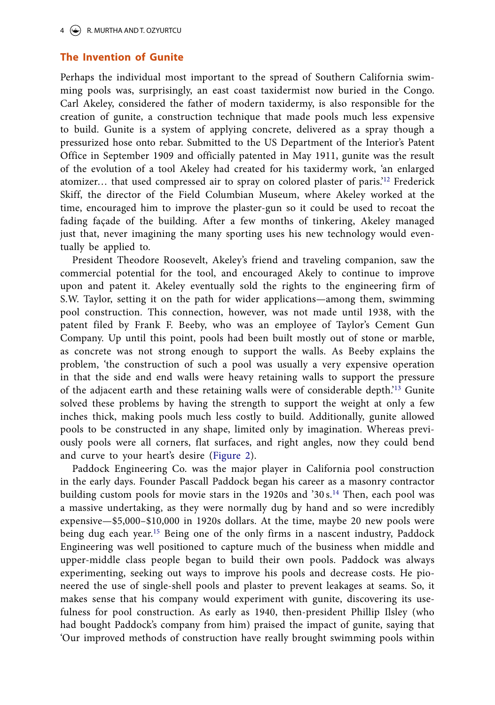## **The Invention of Gunite**

Perhaps the individual most important to the spread of Southern California swimming pools was, surprisingly, an east coast taxidermist now buried in the Congo. Carl Akeley, considered the father of modern taxidermy, is also responsible for the creation of gunite, a construction technique that made pools much less expensive to build. Gunite is a system of applying concrete, delivered as a spray though a pressurized hose onto rebar. Submitted to the US Department of the Interior's Patent Office in September 1909 and officially patented in May 1911, gunite was the result of the evolution of a tool Akeley had created for his taxidermy work, 'an enlarged atomizer… that used compressed air to spray on colored plaster of paris.'<sup>12</sup> Frederick Skiff, the director of the Field Columbian Museum, where Akeley worked at the time, encouraged him to improve the plaster-gun so it could be used to recoat the fading façade of the building. After a few months of tinkering, Akeley managed just that, never imagining the many sporting uses his new technology would eventually be applied to.

President Theodore Roosevelt, Akeley's friend and traveling companion, saw the commercial potential for the tool, and encouraged Akely to continue to improve upon and patent it. Akeley eventually sold the rights to the engineering firm of S.W. Taylor, setting it on the path for wider applications—among them, swimming pool construction. This connection, however, was not made until 1938, with the patent filed by Frank F. Beeby, who was an employee of Taylor's Cement Gun Company. Up until this point, pools had been built mostly out of stone or marble, as concrete was not strong enough to support the walls. As Beeby explains the problem, 'the construction of such a pool was usually a very expensive operation in that the side and end walls were heavy retaining walls to support the pressure of the adjacent earth and these retaining walls were of considerable depth.'<sup>13</sup> Gunite solved these problems by having the strength to support the weight at only a few inches thick, making pools much less costly to build. Additionally, gunite allowed pools to be constructed in any shape, limited only by imagination. Whereas previously pools were all corners, flat surfaces, and right angles, now they could bend and curve to your heart's desire (Figure 2).

Paddock Engineering Co. was the major player in California pool construction in the early days. Founder Pascall Paddock began his career as a masonry contractor building custom pools for movie stars in the 1920s and '30 s.<sup>14</sup> Then, each pool was a massive undertaking, as they were normally dug by hand and so were incredibly expensive—\$5,000–\$10,000 in 1920s dollars. At the time, maybe 20 new pools were being dug each year.<sup>15</sup> Being one of the only firms in a nascent industry, Paddock Engineering was well positioned to capture much of the business when middle and upper-middle class people began to build their own pools. Paddock was always experimenting, seeking out ways to improve his pools and decrease costs. He pioneered the use of single-shell pools and plaster to prevent leakages at seams. So, it makes sense that his company would experiment with gunite, discovering its usefulness for pool construction. As early as 1940, then-president Phillip Ilsley (who had bought Paddock's company from him) praised the impact of gunite, saying that 'Our improved methods of construction have really brought swimming pools within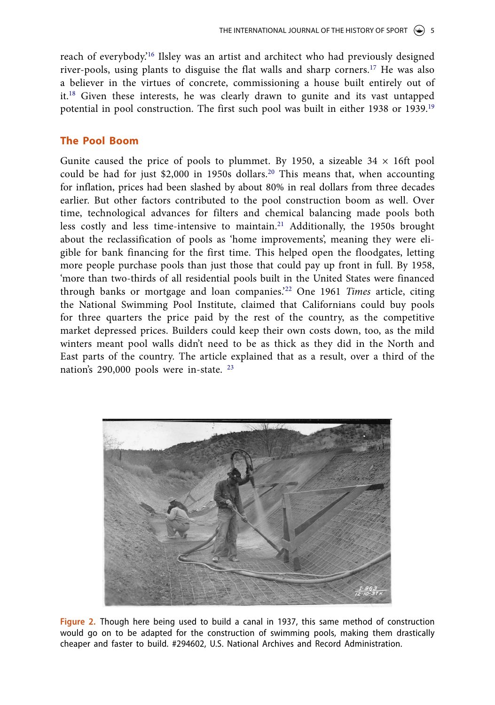reach of everybody.'<sup>16</sup> Ilsley was an artist and architect who had previously designed river-pools, using plants to disguise the flat walls and sharp corners.<sup>17</sup> He was also a believer in the virtues of concrete, commissioning a house built entirely out of it.<sup>18</sup> Given these interests, he was clearly drawn to gunite and its vast untapped potential in pool construction. The first such pool was built in either 1938 or 1939.<sup>19</sup>

## **The Pool Boom**

Gunite caused the price of pools to plummet. By 1950, a sizeable  $34 \times 16$ ft pool could be had for just \$2,000 in 1950s dollars.<sup>20</sup> This means that, when accounting for inflation, prices had been slashed by about 80% in real dollars from three decades earlier. But other factors contributed to the pool construction boom as well. Over time, technological advances for filters and chemical balancing made pools both less costly and less time-intensive to maintain.<sup>21</sup> Additionally, the 1950s brought about the reclassification of pools as 'home improvements', meaning they were eligible for bank financing for the first time. This helped open the floodgates, letting more people purchase pools than just those that could pay up front in full. By 1958, 'more than two-thirds of all residential pools built in the United States were financed through banks or mortgage and loan companies.'<sup>22</sup> One 1961 Times article, citing the National Swimming Pool Institute, claimed that Californians could buy pools for three quarters the price paid by the rest of the country, as the competitive market depressed prices. Builders could keep their own costs down, too, as the mild winters meant pool walls didn't need to be as thick as they did in the North and East parts of the country. The article explained that as a result, over a third of the nation's 290,000 pools were in-state. <sup>23</sup>



**Figure 2.** Though here being used to build a canal in 1937, this same method of construction would go on to be adapted for the construction of swimming pools, making them drastically cheaper and faster to build. #294602, U.S. National Archives and Record Administration.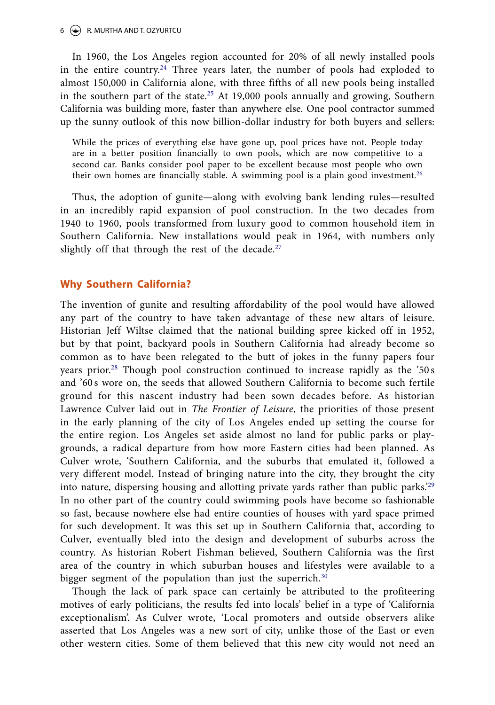#### $6 \leftrightarrow R$ . MURTHA AND T. OZYURTCU

In 1960, the Los Angeles region accounted for 20% of all newly installed pools in the entire country.<sup>24</sup> Three years later, the number of pools had exploded to almost 150,000 in California alone, with three fifths of all new pools being installed in the southern part of the state.<sup>25</sup> At 19,000 pools annually and growing, Southern California was building more, faster than anywhere else. One pool contractor summed up the sunny outlook of this now billion-dollar industry for both buyers and sellers:

While the prices of everything else have gone up, pool prices have not. People today are in a better position financially to own pools, which are now competitive to a second car. Banks consider pool paper to be excellent because most people who own their own homes are financially stable. A swimming pool is a plain good investment.<sup>26</sup>

Thus, the adoption of gunite—along with evolving bank lending rules—resulted in an incredibly rapid expansion of pool construction. In the two decades from 1940 to 1960, pools transformed from luxury good to common household item in Southern California. New installations would peak in 1964, with numbers only slightly off that through the rest of the decade. $27$ 

### **Why Southern California?**

The invention of gunite and resulting affordability of the pool would have allowed any part of the country to have taken advantage of these new altars of leisure. Historian Jeff Wiltse claimed that the national building spree kicked off in 1952, but by that point, backyard pools in Southern California had already become so common as to have been relegated to the butt of jokes in the funny papers four years prior.<sup>28</sup> Though pool construction continued to increase rapidly as the '50 s and '60 s wore on, the seeds that allowed Southern California to become such fertile ground for this nascent industry had been sown decades before. As historian Lawrence Culver laid out in The Frontier of Leisure, the priorities of those present in the early planning of the city of Los Angeles ended up setting the course for the entire region. Los Angeles set aside almost no land for public parks or playgrounds, a radical departure from how more Eastern cities had been planned. As Culver wrote, 'Southern California, and the suburbs that emulated it, followed a very different model. Instead of bringing nature into the city, they brought the city into nature, dispersing housing and allotting private yards rather than public parks.<sup>229</sup> In no other part of the country could swimming pools have become so fashionable so fast, because nowhere else had entire counties of houses with yard space primed for such development. It was this set up in Southern California that, according to Culver, eventually bled into the design and development of suburbs across the country. As historian Robert Fishman believed, Southern California was the first area of the country in which suburban houses and lifestyles were available to a bigger segment of the population than just the superrich.<sup>30</sup>

Though the lack of park space can certainly be attributed to the profiteering motives of early politicians, the results fed into locals' belief in a type of 'California exceptionalism'. As Culver wrote, 'Local promoters and outside observers alike asserted that Los Angeles was a new sort of city, unlike those of the East or even other western cities. Some of them believed that this new city would not need an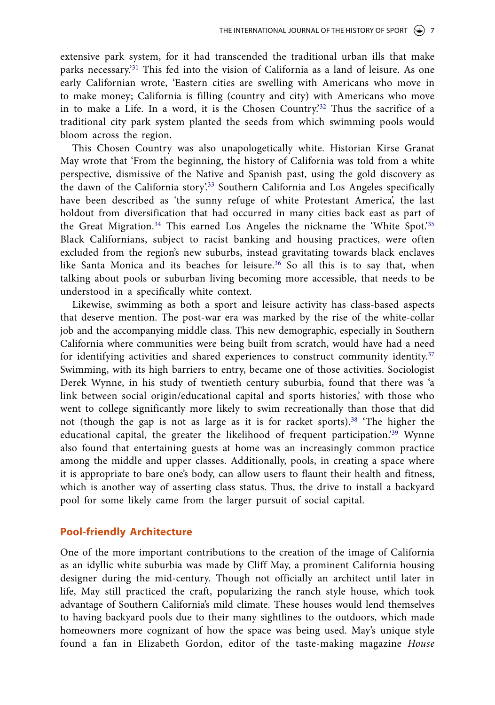extensive park system, for it had transcended the traditional urban ills that make parks necessary.'<sup>31</sup> This fed into the vision of California as a land of leisure. As one early Californian wrote, 'Eastern cities are swelling with Americans who move in to make money; California is filling (country and city) with Americans who move in to make a Life. In a word, it is the Chosen Country.<sup>32</sup> Thus the sacrifice of a traditional city park system planted the seeds from which swimming pools would bloom across the region.

This Chosen Country was also unapologetically white. Historian Kirse Granat May wrote that 'From the beginning, the history of California was told from a white perspective, dismissive of the Native and Spanish past, using the gold discovery as the dawn of the California story'.<sup>33</sup> Southern California and Los Angeles specifically have been described as 'the sunny refuge of white Protestant America', the last holdout from diversification that had occurred in many cities back east as part of the Great Migration.<sup>34</sup> This earned Los Angeles the nickname the 'White Spot.<sup>35</sup> Black Californians, subject to racist banking and housing practices, were often excluded from the region's new suburbs, instead gravitating towards black enclaves like Santa Monica and its beaches for leisure.<sup>36</sup> So all this is to say that, when talking about pools or suburban living becoming more accessible, that needs to be understood in a specifically white context.

Likewise, swimming as both a sport and leisure activity has class-based aspects that deserve mention. The post-war era was marked by the rise of the white-collar job and the accompanying middle class. This new demographic, especially in Southern California where communities were being built from scratch, would have had a need for identifying activities and shared experiences to construct community identity.<sup>37</sup> Swimming, with its high barriers to entry, became one of those activities. Sociologist Derek Wynne, in his study of twentieth century suburbia, found that there was 'a link between social origin/educational capital and sports histories,' with those who went to college significantly more likely to swim recreationally than those that did not (though the gap is not as large as it is for racket sports).<sup>38</sup> 'The higher the educational capital, the greater the likelihood of frequent participation.'<sup>39</sup> Wynne also found that entertaining guests at home was an increasingly common practice among the middle and upper classes. Additionally, pools, in creating a space where it is appropriate to bare one's body, can allow users to flaunt their health and fitness, which is another way of asserting class status. Thus, the drive to install a backyard pool for some likely came from the larger pursuit of social capital.

## **Pool-friendly Architecture**

One of the more important contributions to the creation of the image of California as an idyllic white suburbia was made by Cliff May, a prominent California housing designer during the mid-century. Though not officially an architect until later in life, May still practiced the craft, popularizing the ranch style house, which took advantage of Southern California's mild climate. These houses would lend themselves to having backyard pools due to their many sightlines to the outdoors, which made homeowners more cognizant of how the space was being used. May's unique style found a fan in Elizabeth Gordon, editor of the taste-making magazine House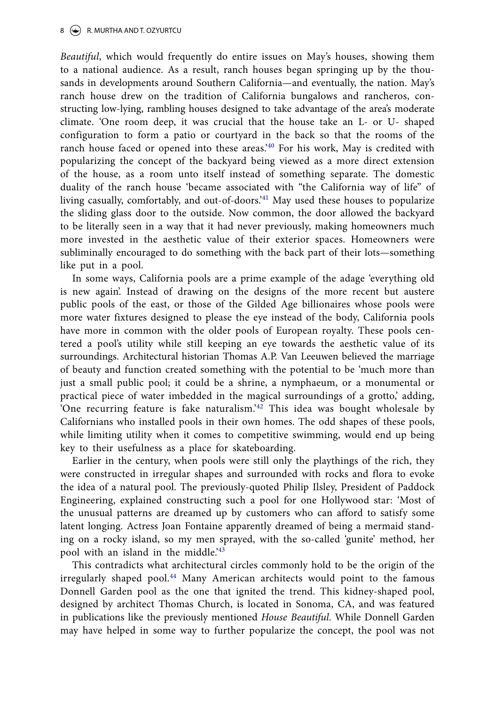Beautiful, which would frequently do entire issues on May's houses, showing them to a national audience. As a result, ranch houses began springing up by the thousands in developments around Southern California—and eventually, the nation. May's ranch house drew on the tradition of California bungalows and rancheros, constructing low-lying, rambling houses designed to take advantage of the area's moderate climate. 'One room deep, it was crucial that the house take an L- or U- shaped configuration to form a patio or courtyard in the back so that the rooms of the ranch house faced or opened into these areas.<sup>40</sup> For his work, May is credited with popularizing the concept of the backyard being viewed as a more direct extension of the house, as a room unto itself instead of something separate. The domestic duality of the ranch house 'became associated with "the California way of life" of living casually, comfortably, and out-of-doors.'<sup>41</sup> May used these houses to popularize the sliding glass door to the outside. Now common, the door allowed the backyard to be literally seen in a way that it had never previously, making homeowners much more invested in the aesthetic value of their exterior spaces. Homeowners were subliminally encouraged to do something with the back part of their lots—something like put in a pool.

In some ways, California pools are a prime example of the adage 'everything old is new again'. Instead of drawing on the designs of the more recent but austere public pools of the east, or those of the Gilded Age billionaires whose pools were more water fixtures designed to please the eye instead of the body, California pools have more in common with the older pools of European royalty. These pools centered a pool's utility while still keeping an eye towards the aesthetic value of its surroundings. Architectural historian Thomas A.P. Van Leeuwen believed the marriage of beauty and function created something with the potential to be 'much more than just a small public pool; it could be a shrine, a nymphaeum, or a monumental or practical piece of water imbedded in the magical surroundings of a grotto,' adding, 'One recurring feature is fake naturalism.'<sup>42</sup> This idea was bought wholesale by Californians who installed pools in their own homes. The odd shapes of these pools, while limiting utility when it comes to competitive swimming, would end up being key to their usefulness as a place for skateboarding.

Earlier in the century, when pools were still only the playthings of the rich, they were constructed in irregular shapes and surrounded with rocks and flora to evoke the idea of a natural pool. The previously-quoted Philip Ilsley, President of Paddock Engineering, explained constructing such a pool for one Hollywood star: 'Most of the unusual patterns are dreamed up by customers who can afford to satisfy some latent longing. Actress Joan Fontaine apparently dreamed of being a mermaid standing on a rocky island, so my men sprayed, with the so-called 'gunite' method, her pool with an island in the middle.<sup>43</sup>

This contradicts what architectural circles commonly hold to be the origin of the irregularly shaped pool.<sup>44</sup> Many American architects would point to the famous Donnell Garden pool as the one that ignited the trend. This kidney-shaped pool, designed by architect Thomas Church, is located in Sonoma, CA, and was featured in publications like the previously mentioned House Beautiful. While Donnell Garden may have helped in some way to further popularize the concept, the pool was not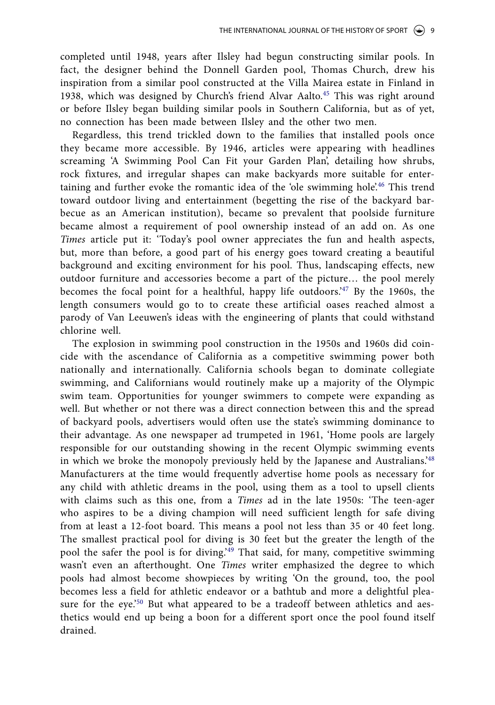completed until 1948, years after Ilsley had begun constructing similar pools. In fact, the designer behind the Donnell Garden pool, Thomas Church, drew his inspiration from a similar pool constructed at the Villa Mairea estate in Finland in 1938, which was designed by Church's friend Alvar Aalto.<sup>45</sup> This was right around or before Ilsley began building similar pools in Southern California, but as of yet, no connection has been made between Ilsley and the other two men.

Regardless, this trend trickled down to the families that installed pools once they became more accessible. By 1946, articles were appearing with headlines screaming 'A Swimming Pool Can Fit your Garden Plan', detailing how shrubs, rock fixtures, and irregular shapes can make backyards more suitable for entertaining and further evoke the romantic idea of the 'ole swimming hole'.<sup>46</sup> This trend toward outdoor living and entertainment (begetting the rise of the backyard barbecue as an American institution), became so prevalent that poolside furniture became almost a requirement of pool ownership instead of an add on. As one Times article put it: 'Today's pool owner appreciates the fun and health aspects, but, more than before, a good part of his energy goes toward creating a beautiful background and exciting environment for his pool. Thus, landscaping effects, new outdoor furniture and accessories become a part of the picture… the pool merely becomes the focal point for a healthful, happy life outdoors.'<sup>47</sup> By the 1960s, the length consumers would go to to create these artificial oases reached almost a parody of Van Leeuwen's ideas with the engineering of plants that could withstand chlorine well.

The explosion in swimming pool construction in the 1950s and 1960s did coincide with the ascendance of California as a competitive swimming power both nationally and internationally. California schools began to dominate collegiate swimming, and Californians would routinely make up a majority of the Olympic swim team. Opportunities for younger swimmers to compete were expanding as well. But whether or not there was a direct connection between this and the spread of backyard pools, advertisers would often use the state's swimming dominance to their advantage. As one newspaper ad trumpeted in 1961, 'Home pools are largely responsible for our outstanding showing in the recent Olympic swimming events in which we broke the monopoly previously held by the Japanese and Australians.'<sup>48</sup> Manufacturers at the time would frequently advertise home pools as necessary for any child with athletic dreams in the pool, using them as a tool to upsell clients with claims such as this one, from a Times ad in the late 1950s: 'The teen-ager who aspires to be a diving champion will need sufficient length for safe diving from at least a 12-foot board. This means a pool not less than 35 or 40 feet long. The smallest practical pool for diving is 30 feet but the greater the length of the pool the safer the pool is for diving.'<sup>49</sup> That said, for many, competitive swimming wasn't even an afterthought. One Times writer emphasized the degree to which pools had almost become showpieces by writing 'On the ground, too, the pool becomes less a field for athletic endeavor or a bathtub and more a delightful pleasure for the eye.'<sup>50</sup> But what appeared to be a tradeoff between athletics and aesthetics would end up being a boon for a different sport once the pool found itself drained.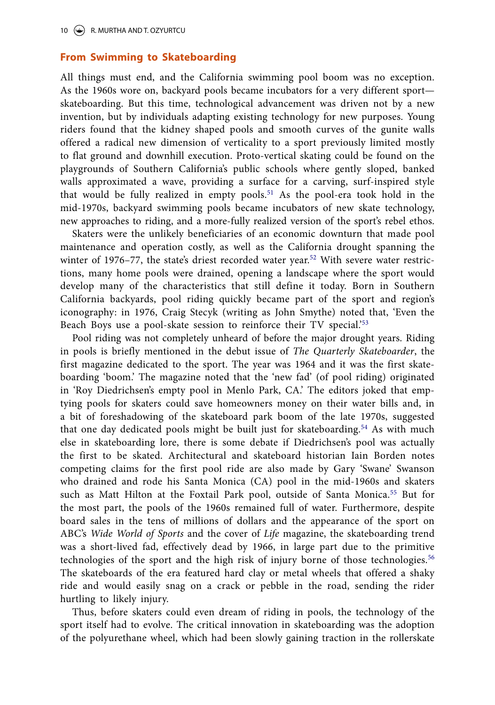#### **From Swimming to Skateboarding**

All things must end, and the California swimming pool boom was no exception. As the 1960s wore on, backyard pools became incubators for a very different sport skateboarding. But this time, technological advancement was driven not by a new invention, but by individuals adapting existing technology for new purposes. Young riders found that the kidney shaped pools and smooth curves of the gunite walls offered a radical new dimension of verticality to a sport previously limited mostly to flat ground and downhill execution. Proto-vertical skating could be found on the playgrounds of Southern California's public schools where gently sloped, banked walls approximated a wave, providing a surface for a carving, surf-inspired style that would be fully realized in empty pools.<sup>51</sup> As the pool-era took hold in the mid-1970s, backyard swimming pools became incubators of new skate technology, new approaches to riding, and a more-fully realized version of the sport's rebel ethos.

Skaters were the unlikely beneficiaries of an economic downturn that made pool maintenance and operation costly, as well as the California drought spanning the winter of 1976–77, the state's driest recorded water year.<sup>52</sup> With severe water restrictions, many home pools were drained, opening a landscape where the sport would develop many of the characteristics that still define it today. Born in Southern California backyards, pool riding quickly became part of the sport and region's iconography: in 1976, Craig Stecyk (writing as John Smythe) noted that, 'Even the Beach Boys use a pool-skate session to reinforce their TV special.<sup>'53</sup>

Pool riding was not completely unheard of before the major drought years. Riding in pools is briefly mentioned in the debut issue of The Quarterly Skateboarder, the first magazine dedicated to the sport. The year was 1964 and it was the first skateboarding 'boom.' The magazine noted that the 'new fad' (of pool riding) originated in 'Roy Diedrichsen's empty pool in Menlo Park, CA.' The editors joked that emptying pools for skaters could save homeowners money on their water bills and, in a bit of foreshadowing of the skateboard park boom of the late 1970s, suggested that one day dedicated pools might be built just for skateboarding.<sup>54</sup> As with much else in skateboarding lore, there is some debate if Diedrichsen's pool was actually the first to be skated. Architectural and skateboard historian Iain Borden notes competing claims for the first pool ride are also made by Gary 'Swane' Swanson who drained and rode his Santa Monica (CA) pool in the mid-1960s and skaters such as Matt Hilton at the Foxtail Park pool, outside of Santa Monica.<sup>55</sup> But for the most part, the pools of the 1960s remained full of water. Furthermore, despite board sales in the tens of millions of dollars and the appearance of the sport on ABC's Wide World of Sports and the cover of Life magazine, the skateboarding trend was a short-lived fad, effectively dead by 1966, in large part due to the primitive technologies of the sport and the high risk of injury borne of those technologies.<sup>56</sup> The skateboards of the era featured hard clay or metal wheels that offered a shaky ride and would easily snag on a crack or pebble in the road, sending the rider hurtling to likely injury.

Thus, before skaters could even dream of riding in pools, the technology of the sport itself had to evolve. The critical innovation in skateboarding was the adoption of the polyurethane wheel, which had been slowly gaining traction in the rollerskate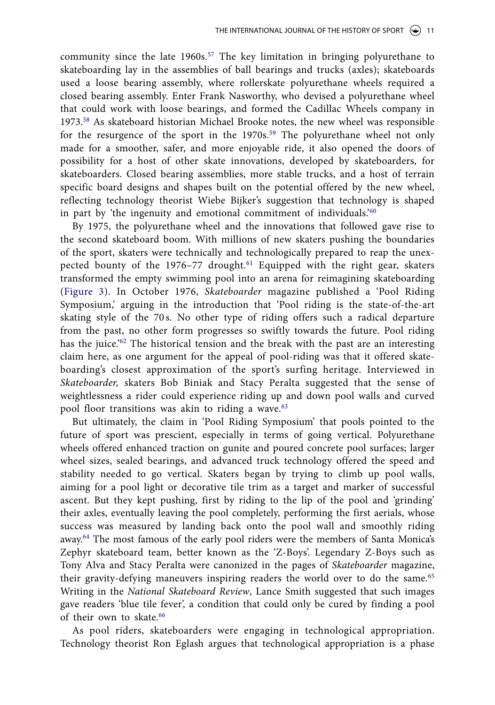community since the late 1960s.<sup>57</sup> The key limitation in bringing polyurethane to skateboarding lay in the assemblies of ball bearings and trucks (axles); skateboards used a loose bearing assembly, where rollerskate polyurethane wheels required a closed bearing assembly. Enter Frank Nasworthy, who devised a polyurethane wheel that could work with loose bearings, and formed the Cadillac Wheels company in 1973.<sup>58</sup> As skateboard historian Michael Brooke notes, the new wheel was responsible for the resurgence of the sport in the 1970s.<sup>59</sup> The polyurethane wheel not only made for a smoother, safer, and more enjoyable ride, it also opened the doors of possibility for a host of other skate innovations, developed by skateboarders, for skateboarders. Closed bearing assemblies, more stable trucks, and a host of terrain specific board designs and shapes built on the potential offered by the new wheel, reflecting technology theorist Wiebe Bijker's suggestion that technology is shaped in part by 'the ingenuity and emotional commitment of individuals.'<sup>60</sup>

By 1975, the polyurethane wheel and the innovations that followed gave rise to the second skateboard boom. With millions of new skaters pushing the boundaries of the sport, skaters were technically and technologically prepared to reap the unexpected bounty of the 1976-77 drought.<sup>61</sup> Equipped with the right gear, skaters transformed the empty swimming pool into an arena for reimagining skateboarding (Figure 3). In October 1976, Skateboarder magazine published a 'Pool Riding Symposium,' arguing in the introduction that 'Pool riding is the state-of-the-art skating style of the 70 s. No other type of riding offers such a radical departure from the past, no other form progresses so swiftly towards the future. Pool riding has the juice.<sup>'62</sup> The historical tension and the break with the past are an interesting claim here, as one argument for the appeal of pool-riding was that it offered skateboarding's closest approximation of the sport's surfing heritage. Interviewed in Skateboarder, skaters Bob Biniak and Stacy Peralta suggested that the sense of weightlessness a rider could experience riding up and down pool walls and curved pool floor transitions was akin to riding a wave.<sup>63</sup>

But ultimately, the claim in 'Pool Riding Symposium' that pools pointed to the future of sport was prescient, especially in terms of going vertical. Polyurethane wheels offered enhanced traction on gunite and poured concrete pool surfaces; larger wheel sizes, sealed bearings, and advanced truck technology offered the speed and stability needed to go vertical. Skaters began by trying to climb up pool walls, aiming for a pool light or decorative tile trim as a target and marker of successful ascent. But they kept pushing, first by riding to the lip of the pool and 'grinding' their axles, eventually leaving the pool completely, performing the first aerials, whose success was measured by landing back onto the pool wall and smoothly riding away.<sup>64</sup> The most famous of the early pool riders were the members of Santa Monica's Zephyr skateboard team, better known as the 'Z-Boys'. Legendary Z-Boys such as Tony Alva and Stacy Peralta were canonized in the pages of Skateboarder magazine, their gravity-defying maneuvers inspiring readers the world over to do the same.<sup>65</sup> Writing in the National Skateboard Review, Lance Smith suggested that such images gave readers 'blue tile fever', a condition that could only be cured by finding a pool of their own to skate.<sup>66</sup>

As pool riders, skateboarders were engaging in technological appropriation. Technology theorist Ron Eglash argues that technological appropriation is a phase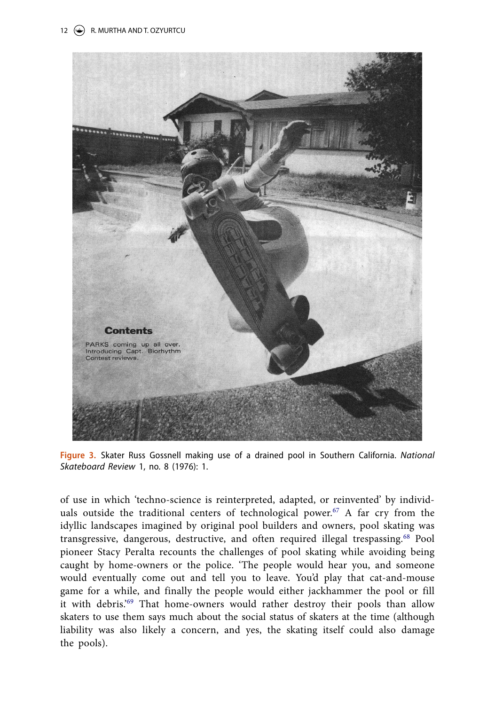

**Figure 3.** Skater Russ Gossnell making use of a drained pool in Southern California. National Skateboard Review 1, no. 8 (1976): 1.

of use in which 'techno-science is reinterpreted, adapted, or reinvented' by individuals outside the traditional centers of technological power. $67$  A far cry from the idyllic landscapes imagined by original pool builders and owners, pool skating was transgressive, dangerous, destructive, and often required illegal trespassing.<sup>68</sup> Pool pioneer Stacy Peralta recounts the challenges of pool skating while avoiding being caught by home-owners or the police. 'The people would hear you, and someone would eventually come out and tell you to leave. You'd play that cat-and-mouse game for a while, and finally the people would either jackhammer the pool or fill it with debris.'<sup>69</sup> That home-owners would rather destroy their pools than allow skaters to use them says much about the social status of skaters at the time (although liability was also likely a concern, and yes, the skating itself could also damage the pools).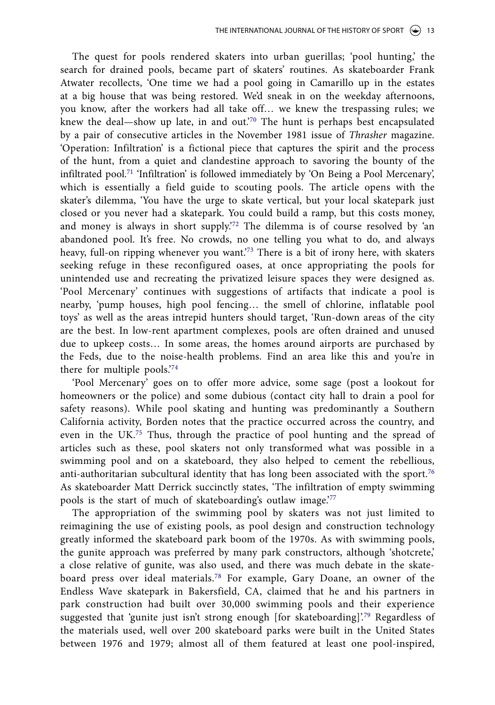The quest for pools rendered skaters into urban guerillas; 'pool hunting,' the search for drained pools, became part of skaters' routines. As skateboarder Frank Atwater recollects, 'One time we had a pool going in Camarillo up in the estates at a big house that was being restored. We'd sneak in on the weekday afternoons, you know, after the workers had all take off… we knew the trespassing rules; we knew the deal—show up late, in and out.'<sup>70</sup> The hunt is perhaps best encapsulated by a pair of consecutive articles in the November 1981 issue of Thrasher magazine. 'Operation: Infiltration' is a fictional piece that captures the spirit and the process of the hunt, from a quiet and clandestine approach to savoring the bounty of the infiltrated pool.<sup>71</sup> 'Infiltration' is followed immediately by 'On Being a Pool Mercenary', which is essentially a field guide to scouting pools. The article opens with the skater's dilemma, 'You have the urge to skate vertical, but your local skatepark just closed or you never had a skatepark. You could build a ramp, but this costs money, and money is always in short supply.'<sup>72</sup> The dilemma is of course resolved by 'an abandoned pool. It's free. No crowds, no one telling you what to do, and always heavy, full-on ripping whenever you want.<sup>73</sup> There is a bit of irony here, with skaters seeking refuge in these reconfigured oases, at once appropriating the pools for unintended use and recreating the privatized leisure spaces they were designed as. 'Pool Mercenary' continues with suggestions of artifacts that indicate a pool is nearby, 'pump houses, high pool fencing… the smell of chlorine, inflatable pool toys' as well as the areas intrepid hunters should target, 'Run-down areas of the city are the best. In low-rent apartment complexes, pools are often drained and unused due to upkeep costs… In some areas, the homes around airports are purchased by the Feds, due to the noise-health problems. Find an area like this and you're in there for multiple pools.'<sup>74</sup>

'Pool Mercenary' goes on to offer more advice, some sage (post a lookout for homeowners or the police) and some dubious (contact city hall to drain a pool for safety reasons). While pool skating and hunting was predominantly a Southern California activity, Borden notes that the practice occurred across the country, and even in the UK.<sup>75</sup> Thus, through the practice of pool hunting and the spread of articles such as these, pool skaters not only transformed what was possible in a swimming pool and on a skateboard, they also helped to cement the rebellious, anti-authoritarian subcultural identity that has long been associated with the sport.<sup>76</sup> As skateboarder Matt Derrick succinctly states, 'The infiltration of empty swimming pools is the start of much of skateboarding's outlaw image.'<sup>77</sup>

The appropriation of the swimming pool by skaters was not just limited to reimagining the use of existing pools, as pool design and construction technology greatly informed the skateboard park boom of the 1970s. As with swimming pools, the gunite approach was preferred by many park constructors, although 'shotcrete,' a close relative of gunite, was also used, and there was much debate in the skateboard press over ideal materials.<sup>78</sup> For example, Gary Doane, an owner of the Endless Wave skatepark in Bakersfield, CA, claimed that he and his partners in park construction had built over 30,000 swimming pools and their experience suggested that 'gunite just isn't strong enough [for skateboarding]'.<sup>79</sup> Regardless of the materials used, well over 200 skateboard parks were built in the United States between 1976 and 1979; almost all of them featured at least one pool-inspired,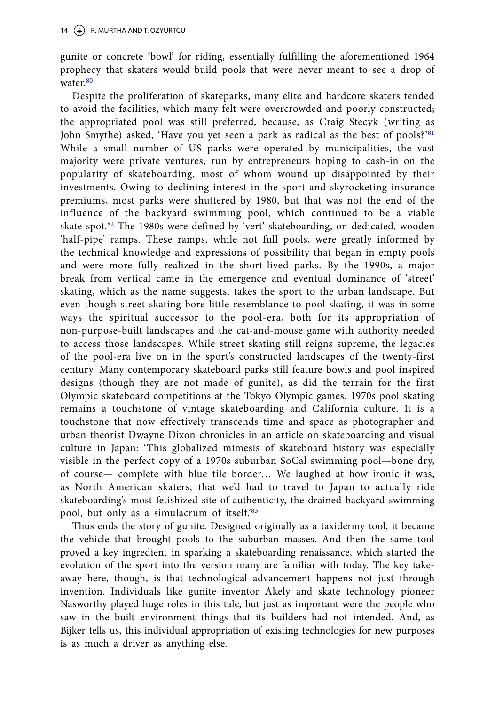gunite or concrete 'bowl' for riding, essentially fulfilling the aforementioned 1964 prophecy that skaters would build pools that were never meant to see a drop of water.<sup>80</sup>

Despite the proliferation of skateparks, many elite and hardcore skaters tended to avoid the facilities, which many felt were overcrowded and poorly constructed; the appropriated pool was still preferred, because, as Craig Stecyk (writing as John Smythe) asked, 'Have you yet seen a park as radical as the best of pools?'<sup>81</sup> While a small number of US parks were operated by municipalities, the vast majority were private ventures, run by entrepreneurs hoping to cash-in on the popularity of skateboarding, most of whom wound up disappointed by their investments. Owing to declining interest in the sport and skyrocketing insurance premiums, most parks were shuttered by 1980, but that was not the end of the influence of the backyard swimming pool, which continued to be a viable skate-spot.<sup>82</sup> The 1980s were defined by 'vert' skateboarding, on dedicated, wooden 'half-pipe' ramps. These ramps, while not full pools, were greatly informed by the technical knowledge and expressions of possibility that began in empty pools and were more fully realized in the short-lived parks. By the 1990s, a major break from vertical came in the emergence and eventual dominance of 'street' skating, which as the name suggests, takes the sport to the urban landscape. But even though street skating bore little resemblance to pool skating, it was in some ways the spiritual successor to the pool-era, both for its appropriation of non-purpose-built landscapes and the cat-and-mouse game with authority needed to access those landscapes. While street skating still reigns supreme, the legacies of the pool-era live on in the sport's constructed landscapes of the twenty-first century. Many contemporary skateboard parks still feature bowls and pool inspired designs (though they are not made of gunite), as did the terrain for the first Olympic skateboard competitions at the Tokyo Olympic games. 1970s pool skating remains a touchstone of vintage skateboarding and California culture. It is a touchstone that now effectively transcends time and space as photographer and urban theorist Dwayne Dixon chronicles in an article on skateboarding and visual culture in Japan: 'This globalized mimesis of skateboard history was especially visible in the perfect copy of a 1970s suburban SoCal swimming pool—bone dry, of course— complete with blue tile border… We laughed at how ironic it was, as North American skaters, that we'd had to travel to Japan to actually ride skateboarding's most fetishized site of authenticity, the drained backyard swimming pool, but only as a simulacrum of itself.'83

Thus ends the story of gunite. Designed originally as a taxidermy tool, it became the vehicle that brought pools to the suburban masses. And then the same tool proved a key ingredient in sparking a skateboarding renaissance, which started the evolution of the sport into the version many are familiar with today. The key takeaway here, though, is that technological advancement happens not just through invention. Individuals like gunite inventor Akely and skate technology pioneer Nasworthy played huge roles in this tale, but just as important were the people who saw in the built environment things that its builders had not intended. And, as Bijker tells us, this individual appropriation of existing technologies for new purposes is as much a driver as anything else.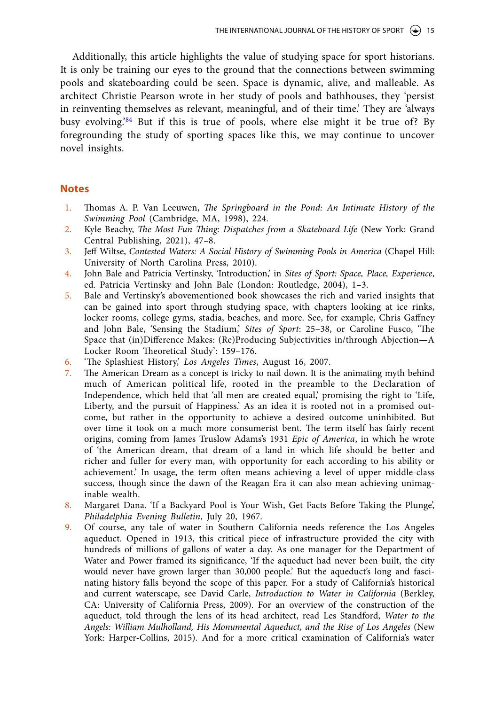Additionally, this article highlights the value of studying space for sport historians. It is only be training our eyes to the ground that the connections between swimming pools and skateboarding could be seen. Space is dynamic, alive, and malleable. As architect Christie Pearson wrote in her study of pools and bathhouses, they 'persist in reinventing themselves as relevant, meaningful, and of their time.' They are 'always busy evolving.'<sup>84</sup> But if this is true of pools, where else might it be true of? By foregrounding the study of sporting spaces like this, we may continue to uncover novel insights.

#### **Notes**

- 1. Thomas A. P. Van Leeuwen, The Springboard in the Pond: An Intimate History of the Swimming Pool (Cambridge, MA, 1998), 224.
- 2. Kyle Beachy, The Most Fun Thing: Dispatches from a Skateboard Life (New York: Grand Central Publishing, 2021), 47–8.
- 3. Jeff Wiltse, Contested Waters: A Social History of Swimming Pools in America (Chapel Hill: University of North Carolina Press, 2010).
- 4. John Bale and Patricia Vertinsky, 'Introduction,' in Sites of Sport: Space, Place, Experience, ed. Patricia Vertinsky and John Bale (London: Routledge, 2004), 1–3.
- 5. Bale and Vertinsky's abovementioned book showcases the rich and varied insights that can be gained into sport through studying space, with chapters looking at ice rinks, locker rooms, college gyms, stadia, beaches, and more. See, for example, Chris Gaffney and John Bale, 'Sensing the Stadium,' Sites of Sport: 25–38, or Caroline Fusco, 'The Space that (in)Difference Makes: (Re)Producing Subjectivities in/through Abjection—A Locker Room Theoretical Study': 159–176.
- 6. 'The Splashiest History,' Los Angeles Times, August 16, 2007.
- 7. The American Dream as a concept is tricky to nail down. It is the animating myth behind much of American political life, rooted in the preamble to the Declaration of Independence, which held that 'all men are created equal,' promising the right to 'Life, Liberty, and the pursuit of Happiness.' As an idea it is rooted not in a promised outcome, but rather in the opportunity to achieve a desired outcome uninhibited. But over time it took on a much more consumerist bent. The term itself has fairly recent origins, coming from James Truslow Adams's 1931 Epic of America, in which he wrote of 'the American dream, that dream of a land in which life should be better and richer and fuller for every man, with opportunity for each according to his ability or achievement.' In usage, the term often means achieving a level of upper middle-class success, though since the dawn of the Reagan Era it can also mean achieving unimaginable wealth.
- 8. Margaret Dana. 'If a Backyard Pool is Your Wish, Get Facts Before Taking the Plunge', Philadelphia Evening Bulletin, July 20, 1967.
- 9. Of course, any tale of water in Southern California needs reference the Los Angeles aqueduct. Opened in 1913, this critical piece of infrastructure provided the city with hundreds of millions of gallons of water a day. As one manager for the Department of Water and Power framed its significance, 'If the aqueduct had never been built, the city would never have grown larger than 30,000 people.' But the aqueduct's long and fascinating history falls beyond the scope of this paper. For a study of California's historical and current waterscape, see David Carle, Introduction to Water in California (Berkley, CA: University of California Press, 2009). For an overview of the construction of the aqueduct, told through the lens of its head architect, read Les Standford, Water to the Angels: William Mulholland, His Monumental Aqueduct, and the Rise of Los Angeles (New York: Harper-Collins, 2015). And for a more critical examination of California's water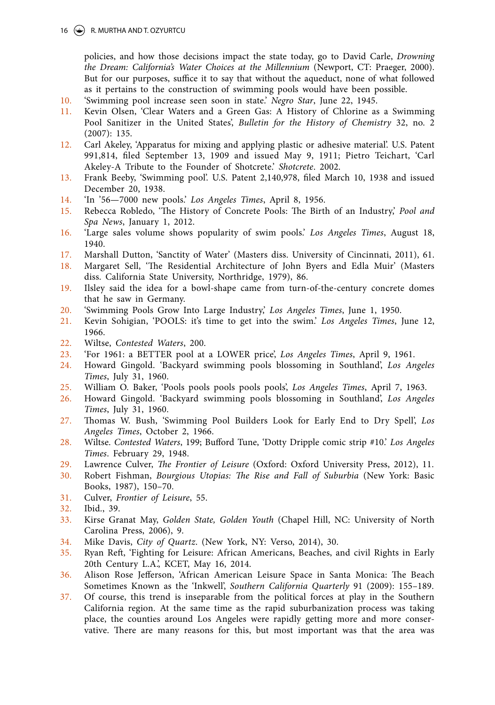#### 16 (See R. MURTHA AND T. OZYURTCU

policies, and how those decisions impact the state today, go to David Carle, Drowning the Dream: California's Water Choices at the Millennium (Newport, CT: Praeger, 2000). But for our purposes, suffice it to say that without the aqueduct, none of what followed as it pertains to the construction of swimming pools would have been possible.

- 10. 'Swimming pool increase seen soon in state.' Negro Star, June 22, 1945.
- 11. Kevin Olsen, 'Clear Waters and a Green Gas: A History of Chlorine as a Swimming Pool Sanitizer in the United States', Bulletin for the History of Chemistry 32, no. 2 (2007): 135.
- 12. Carl Akeley, 'Apparatus for mixing and applying plastic or adhesive material'. U.S. Patent 991,814, filed September 13, 1909 and issued May 9, 1911; Pietro Teichart, 'Carl Akeley-A Tribute to the Founder of Shotcrete.' Shotcrete. 2002.
- 13. Frank Beeby, 'Swimming pool'. U.S. Patent 2,140,978, filed March 10, 1938 and issued December 20, 1938.
- 14. 'In '56—7000 new pools.' Los Angeles Times, April 8, 1956.
- 15. Rebecca Robledo, 'The History of Concrete Pools: The Birth of an Industry,' Pool and Spa News, January 1, 2012.
- 16. 'Large sales volume shows popularity of swim pools.' Los Angeles Times, August 18, 1940.
- 17. Marshall Dutton, 'Sanctity of Water' (Masters diss. University of Cincinnati, 2011), 61.
- 18. Margaret Sell, 'The Residential Architecture of John Byers and Edla Muir' (Masters diss. California State University, Northridge, 1979), 86.
- 19. Ilsley said the idea for a bowl-shape came from turn-of-the-century concrete domes that he saw in Germany.
- 20. 'Swimming Pools Grow Into Large Industry,' Los Angeles Times, June 1, 1950.
- 21. Kevin Sohigian, 'POOLS: it's time to get into the swim.' Los Angeles Times, June 12, 1966.
- 22. Wiltse, Contested Waters, 200.
- 23. 'For 1961: a BETTER pool at a LOWER price', Los Angeles Times, April 9, 1961.
- 24. Howard Gingold. 'Backyard swimming pools blossoming in Southland', Los Angeles Times, July 31, 1960.
- 25. William O. Baker, 'Pools pools pools pools pools', Los Angeles Times, April 7, 1963.
- 26. Howard Gingold. 'Backyard swimming pools blossoming in Southland', Los Angeles Times, July 31, 1960.
- 27. Thomas W. Bush, 'Swimming Pool Builders Look for Early End to Dry Spell', Los Angeles Times, October 2, 1966.
- 28. Wiltse. Contested Waters, 199; Bufford Tune, 'Dotty Dripple comic strip #10.' Los Angeles Times. February 29, 1948.
- 29. Lawrence Culver, The Frontier of Leisure (Oxford: Oxford University Press, 2012), 11.
- 30. Robert Fishman, Bourgious Utopias: The Rise and Fall of Suburbia (New York: Basic Books, 1987), 150–70.
- 31. Culver, Frontier of Leisure, 55.
- 32. Ibid., 39.
- 33. Kirse Granat May, Golden State, Golden Youth (Chapel Hill, NC: University of North Carolina Press, 2006), 9.
- 34. Mike Davis, City of Quartz. (New York, NY: Verso, 2014), 30.
- 35. Ryan Reft, 'Fighting for Leisure: African Americans, Beaches, and civil Rights in Early 20th Century L.A.', KCET, May 16, 2014.
- 36. Alison Rose Jefferson, 'African American Leisure Space in Santa Monica: The Beach Sometimes Known as the 'Inkwell', Southern California Quarterly 91 (2009): 155–189.
- 37. Of course, this trend is inseparable from the political forces at play in the Southern California region. At the same time as the rapid suburbanization process was taking place, the counties around Los Angeles were rapidly getting more and more conservative. There are many reasons for this, but most important was that the area was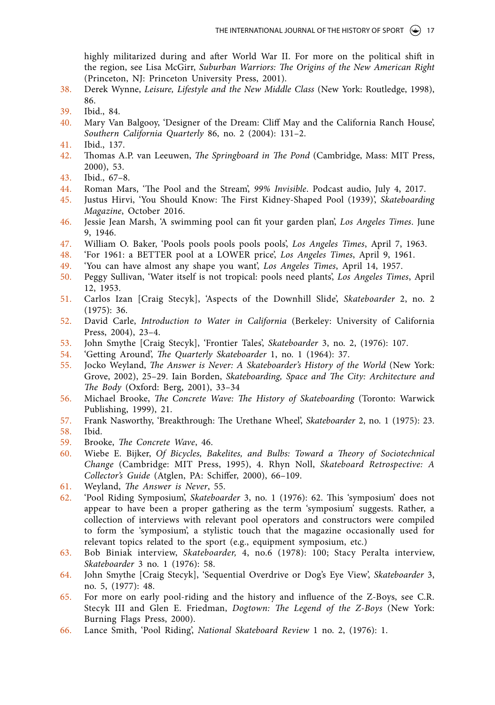highly militarized during and after World War II. For more on the political shift in the region, see Lisa McGirr, Suburban Warriors: The Origins of the New American Right (Princeton, NJ: Princeton University Press, 2001).

- 38. Derek Wynne, Leisure, Lifestyle and the New Middle Class (New York: Routledge, 1998), 86.
- 39. Ibid., 84.
- 40. Mary Van Balgooy, 'Designer of the Dream: Cliff May and the California Ranch House', Southern California Quarterly 86, no. 2 (2004): 131–2.
- 41. Ibid., 137.
- 42. Thomas A.P. van Leeuwen, The Springboard in The Pond (Cambridge, Mass: MIT Press, 2000), 53.
- 43. Ibid., 67–8.
- 44. Roman Mars, 'The Pool and the Stream', 99% Invisible. Podcast audio, July 4, 2017.
- 45. Justus Hirvi, 'You Should Know: The First Kidney-Shaped Pool (1939)', Skateboarding Magazine, October 2016.
- 46. Jessie Jean Marsh, 'A swimming pool can fit your garden plan', Los Angeles Times. June 9, 1946.
- 47. William O. Baker, 'Pools pools pools pools pools', Los Angeles Times, April 7, 1963.
- 48. 'For 1961: a BETTER pool at a LOWER price', Los Angeles Times, April 9, 1961.
- 49. 'You can have almost any shape you want', Los Angeles Times, April 14, 1957.
- 50. Peggy Sullivan, 'Water itself is not tropical: pools need plants', Los Angeles Times, April 12, 1953.
- 51. Carlos Izan [Craig Stecyk], 'Aspects of the Downhill Slide', Skateboarder 2, no. 2 (1975): 36.
- 52. David Carle, Introduction to Water in California (Berkeley: University of California Press, 2004), 23–4.
- 53. John Smythe [Craig Stecyk], 'Frontier Tales', Skateboarder 3, no. 2, (1976): 107.<br>54. 'Getting Around', *The Quarterly Skateboarder* 1, no. 1 (1964): 37.
- 54. 'Getting Around', The Quarterly Skateboarder 1, no. 1 (1964): 37.
- 55. Jocko Weyland, The Answer is Never: A Skateboarder's History of the World (New York: Grove, 2002), 25–29. Iain Borden, Skateboarding, Space and The City: Architecture and The Body (Oxford: Berg, 2001), 33–34
- 56. Michael Brooke, The Concrete Wave: The History of Skateboarding (Toronto: Warwick Publishing, 1999), 21.
- 57. Frank Nasworthy, 'Breakthrough: The Urethane Wheel', Skateboarder 2, no. 1 (1975): 23. 58. Ibid.
- 
- 59. Brooke, The Concrete Wave, 46.
- 60. Wiebe E. Bijker, Of Bicycles, Bakelites, and Bulbs: Toward a Theory of Sociotechnical Change (Cambridge: MIT Press, 1995), 4. Rhyn Noll, Skateboard Retrospective: A Collector's Guide (Atglen, PA: Schiffer, 2000), 66–109.
- 61. Weyland, The Answer is Never, 55.
- 62. 'Pool Riding Symposium', Skateboarder 3, no. 1 (1976): 62. This 'symposium' does not appear to have been a proper gathering as the term 'symposium' suggests. Rather, a collection of interviews with relevant pool operators and constructors were compiled to form the 'symposium', a stylistic touch that the magazine occasionally used for relevant topics related to the sport (e.g., equipment symposium, etc.)
- 63. Bob Biniak interview, Skateboarder, 4, no.6 (1978): 100; Stacy Peralta interview, Skateboarder 3 no. 1 (1976): 58.
- 64. John Smythe [Craig Stecyk], 'Sequential Overdrive or Dog's Eye View', Skateboarder 3, no. 5, (1977): 48.
- 65. For more on early pool-riding and the history and influence of the Z-Boys, see C.R. Stecyk III and Glen E. Friedman, Dogtown: The Legend of the Z-Boys (New York: Burning Flags Press, 2000).
- 66. Lance Smith, 'Pool Riding', National Skateboard Review 1 no. 2, (1976): 1.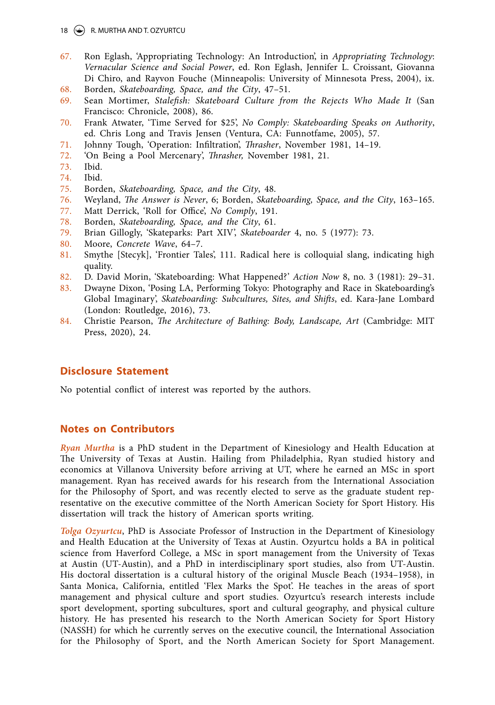18  $\left(\bigoplus$  R. MURTHA AND T. OZYURTCU

- 67. Ron Eglash, 'Appropriating Technology: An Introduction', in Appropriating Technology: Vernacular Science and Social Power, ed. Ron Eglash, Jennifer L. Croissant, Giovanna Di Chiro, and Rayvon Fouche (Minneapolis: University of Minnesota Press, 2004), ix.
- 68. Borden, Skateboarding, Space, and the City, 47–51.
- 69. Sean Mortimer, Stalefish: Skateboard Culture from the Rejects Who Made It (San Francisco: Chronicle, 2008), 86.
- 70. Frank Atwater, 'Time Served for \$25', No Comply: Skateboarding Speaks on Authority, ed. Chris Long and Travis Jensen (Ventura, CA: Funnotfame, 2005), 57.
- 71. Johnny Tough, 'Operation: Infiltration', Thrasher, November 1981, 14–19.
- 72. 'On Being a Pool Mercenary', Thrasher, November 1981, 21.
- 73. Ibid.
- 74. Ibid.
- 75. Borden, Skateboarding, Space, and the City, 48.
- 76. Weyland, The Answer is Never, 6; Borden, Skateboarding, Space, and the City, 163–165.
- 77. Matt Derrick, 'Roll for Office', No Comply, 191.
- 78. Borden, Skateboarding, Space, and the City, 61.
- 79. Brian Gillogly, 'Skateparks: Part XIV', Skateboarder 4, no. 5 (1977): 73.
- 80. Moore, Concrete Wave, 64–7.
- 81. Smythe [Stecyk], 'Frontier Tales', 111. Radical here is colloquial slang, indicating high quality.
- 82. D. David Morin, 'Skateboarding: What Happened?' Action Now 8, no. 3 (1981): 29–31.
- 83. Dwayne Dixon, 'Posing LA, Performing Tokyo: Photography and Race in Skateboarding's Global Imaginary', Skateboarding: Subcultures, Sites, and Shifts, ed. Kara-Jane Lombard (London: Routledge, 2016), 73.
- 84. Christie Pearson, The Architecture of Bathing: Body, Landscape, Art (Cambridge: MIT Press, 2020), 24.

#### **Disclosure Statement**

No potential conflict of interest was reported by the authors.

## **Notes on Contributors**

**Ryan Murtha** is a PhD student in the Department of Kinesiology and Health Education at The University of Texas at Austin. Hailing from Philadelphia, Ryan studied history and economics at Villanova University before arriving at UT, where he earned an MSc in sport management. Ryan has received awards for his research from the International Association for the Philosophy of Sport, and was recently elected to serve as the graduate student representative on the executive committee of the North American Society for Sport History. His dissertation will track the history of American sports writing.

**Tolga Ozyurtcu**, PhD is Associate Professor of Instruction in the Department of Kinesiology and Health Education at the University of Texas at Austin. Ozyurtcu holds a BA in political science from Haverford College, a MSc in sport management from the University of Texas at Austin (UT-Austin), and a PhD in interdisciplinary sport studies, also from UT-Austin. His doctoral dissertation is a cultural history of the original Muscle Beach (1934–1958), in Santa Monica, California, entitled 'Flex Marks the Spot'. He teaches in the areas of sport management and physical culture and sport studies. Ozyurtcu's research interests include sport development, sporting subcultures, sport and cultural geography, and physical culture history. He has presented his research to the North American Society for Sport History (NASSH) for which he currently serves on the executive council, the International Association for the Philosophy of Sport, and the North American Society for Sport Management.